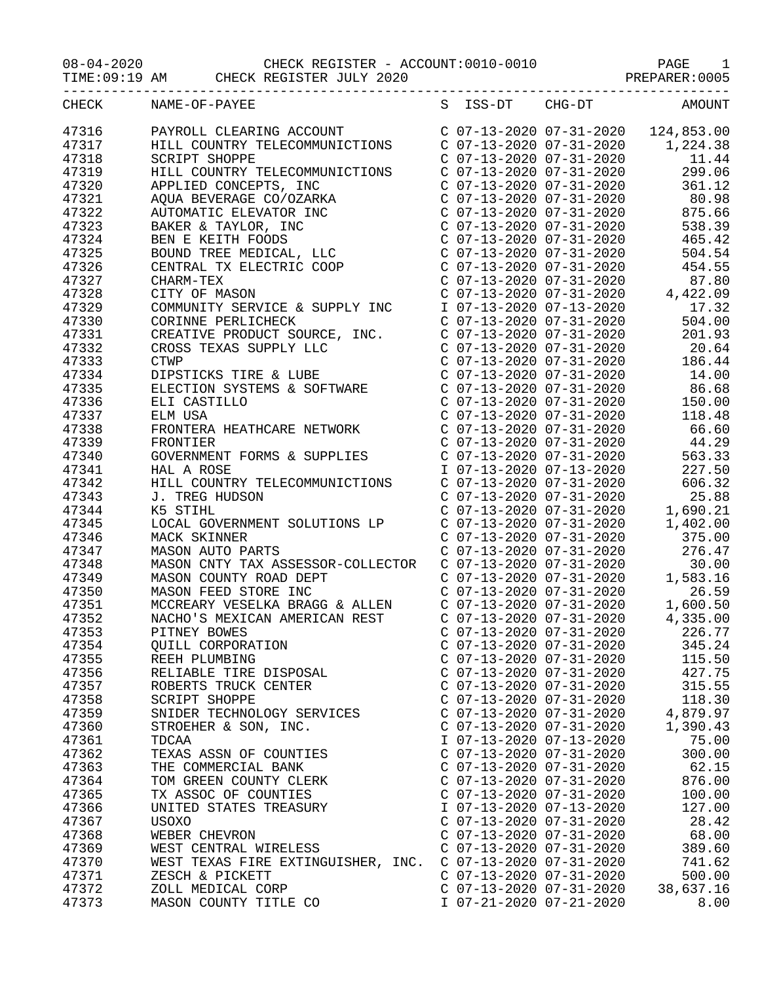08-04-2020 CHECK REGISTER - ACCOUNT:0010-0010 PAGE 1

|       |                      | TIME:09:19 AM CHECK REGISTER JULY 2020                                                                                                     |                             |                           | PREPARER: 0005 |
|-------|----------------------|--------------------------------------------------------------------------------------------------------------------------------------------|-----------------------------|---------------------------|----------------|
| CHECK | NAME-OF-PAYEE        |                                                                                                                                            |                             | S ISS-DT CHG-DT           | <b>AMOUNT</b>  |
| 47316 |                      | PAYROLL CLEARING ACCOUNT                                                                                                                   |                             | C 07-13-2020 07-31-2020   | 124,853.00     |
| 47317 |                      | HILL COUNTRY TELECOMMUNICTIONS                                                                                                             |                             | C 07-13-2020 07-31-2020   | 1,224.38       |
| 47318 | <b>SCRIPT SHOPPE</b> |                                                                                                                                            |                             | $C$ 07-13-2020 07-31-2020 | 11.44          |
| 47319 |                      | HILL COUNTRY TELECOMMUNICTIONS                                                                                                             |                             | C 07-13-2020 07-31-2020   | 299.06         |
| 47320 |                      | APPLIED CONCEPTS, INC                                                                                                                      | $C$ 07-13-2020 07-31-2020   |                           | 361.12         |
| 47321 |                      |                                                                                                                                            | $C$ 07-13-2020 07-31-2020   |                           | 80.98          |
| 47322 |                      |                                                                                                                                            | $C$ 07-13-2020 07-31-2020   |                           | 875.66         |
| 47323 |                      |                                                                                                                                            |                             | $C$ 07-13-2020 07-31-2020 | 538.39         |
| 47324 |                      |                                                                                                                                            |                             | $C$ 07-13-2020 07-31-2020 | 465.42         |
| 47325 |                      | AT LILL CONCITION AND REVERAGE CONCIRRED AND TO DARKER & TAYLOR INC<br>BAKER & TAYLOR, INC<br>BEN E KEITH FOODS<br>BOUND TREE MEDICAL, LLC | $C$ 07-13-2020 07-31-2020   |                           | 504.54         |
| 47326 |                      | CENTRAL TX ELECTRIC COOP                                                                                                                   | $C$ 07-13-2020 07-31-2020   |                           | 454.55         |
| 47327 |                      |                                                                                                                                            |                             | $C$ 07-13-2020 07-31-2020 | 87.80          |
|       | CHARM-TEX            |                                                                                                                                            |                             |                           |                |
| 47328 | CITY OF MASON        |                                                                                                                                            | $C$ 07-13-2020 07-31-2020   |                           | 4,422.09       |
| 47329 |                      | COMMUNITY SERVICE & SUPPLY INC                                                                                                             | I 07-13-2020 07-13-2020     |                           | 17.32          |
| 47330 |                      | CORINNE PERLICHECK                                                                                                                         |                             | C 07-13-2020 07-31-2020   | 504.00         |
| 47331 |                      | CREATIVE PRODUCT SOURCE, INC.                                                                                                              | $C$ 07-13-2020 07-31-2020   |                           | 201.93         |
| 47332 |                      | CROSS TEXAS SUPPLY LLC                                                                                                                     | $C$ 07-13-2020 07-31-2020   |                           | 20.64          |
| 47333 | <b>CTWP</b>          |                                                                                                                                            | $C$ 07-13-2020 07-31-2020   |                           | 186.44         |
| 47334 |                      | DIPSTICKS TIRE & LUBE                                                                                                                      | $C$ 07-13-2020 07-31-2020   |                           | 14.00          |
| 47335 |                      | ELECTION SYSTEMS & SOFTWARE                                                                                                                | $C$ 07-13-2020 07-31-2020   |                           | 86.68          |
| 47336 | ELI CASTILLO         |                                                                                                                                            | $C$ 07-13-2020 07-31-2020   |                           | 150.00         |
| 47337 | ELM USA              |                                                                                                                                            | $C$ 07-13-2020 07-31-2020   |                           | 118.48         |
| 47338 |                      | FRONTERA HEATHCARE NETWORK                                                                                                                 | $C$ 07-13-2020 07-31-2020   |                           | 66.60          |
| 47339 | FRONTIER             |                                                                                                                                            | $C$ 07-13-2020 07-31-2020   |                           | 44.29          |
| 47340 |                      | GOVERNMENT FORMS & SUPPLIES                                                                                                                |                             | C 07-13-2020 07-31-2020   | 563.33         |
| 47341 | HAL A ROSE           |                                                                                                                                            | I 07-13-2020 07-13-2020     |                           | 227.50         |
| 47342 |                      | HILL COUNTRY TELECOMMUNICTIONS                                                                                                             | $C$ 07-13-2020 07-31-2020   |                           | 606.32         |
| 47343 | J. TREG HUDSON       |                                                                                                                                            | $C$ 07-13-2020 07-31-2020   |                           | 25.88          |
| 47344 | K5 STIHL             |                                                                                                                                            | $C$ 07-13-2020 07-31-2020   |                           | 1,690.21       |
| 47345 |                      | LOCAL GOVERNMENT SOLUTIONS LP                                                                                                              | $C$ 07-13-2020 07-31-2020   |                           | 1,402.00       |
| 47346 | MACK SKINNER         |                                                                                                                                            | $C$ 07-13-2020 07-31-2020   |                           | 375.00         |
| 47347 |                      | MASON AUTO PARTS                                                                                                                           | $C$ 07-13-2020 07-31-2020   |                           | 276.47         |
| 47348 |                      | MASON CNTY TAX ASSESSOR-COLLECTOR                                                                                                          | $C$ 07-13-2020 07-31-2020   |                           | 30.00          |
| 47349 |                      | MASON COUNTY ROAD DEPT                                                                                                                     | $C$ 07-13-2020 07-31-2020   |                           | 1,583.16       |
| 47350 |                      | MASON FEED STORE INC                                                                                                                       | $C$ 07-13-2020 07-31-2020   |                           | 26.59          |
| 47351 |                      | MCCREARY VESELKA BRAGG & ALLEN                                                                                                             |                             | $C$ 07-13-2020 07-31-2020 | 1,600.50       |
| 47352 |                      | NACHO'S MEXICAN AMERICAN REST                                                                                                              | $C$ 07-13-2020 07-31-2020   |                           | 4,335.00       |
| 47353 | PITNEY BOWES         |                                                                                                                                            | C $07-13-2020$ $07-31-2020$ |                           | 226.77         |
| 47354 |                      | QUILL CORPORATION                                                                                                                          | $C$ 07-13-2020 07-31-2020   |                           | 345.24         |
| 47355 | REEH PLUMBING        |                                                                                                                                            | $C$ 07-13-2020 07-31-2020   |                           | 115.50         |
| 47356 |                      | RELIABLE TIRE DISPOSAL                                                                                                                     | $C$ 07-13-2020 07-31-2020   |                           | 427.75         |
| 47357 |                      | ROBERTS TRUCK CENTER                                                                                                                       | $C$ 07-13-2020 07-31-2020   |                           | 315.55         |
| 47358 | SCRIPT SHOPPE        |                                                                                                                                            | $C$ 07-13-2020 07-31-2020   |                           | 118.30         |
| 47359 |                      | SNIDER TECHNOLOGY SERVICES                                                                                                                 | C 07-13-2020 07-31-2020     |                           | 4,879.97       |
| 47360 |                      | STROEHER & SON, INC.                                                                                                                       | $C$ 07-13-2020 07-31-2020   |                           | 1,390.43       |
| 47361 | TDCAA                |                                                                                                                                            | I 07-13-2020 07-13-2020     |                           | 75.00          |
| 47362 |                      | TEXAS ASSN OF COUNTIES                                                                                                                     | C 07-13-2020 07-31-2020     |                           | 300.00         |
| 47363 |                      | THE COMMERCIAL BANK                                                                                                                        | $C$ 07-13-2020 07-31-2020   |                           | 62.15          |
| 47364 |                      | TOM GREEN COUNTY CLERK                                                                                                                     | $C$ 07-13-2020 07-31-2020   |                           | 876.00         |
| 47365 |                      | TX ASSOC OF COUNTIES                                                                                                                       | $C$ 07-13-2020 07-31-2020   |                           | 100.00         |
| 47366 |                      | UNITED STATES TREASURY                                                                                                                     | I 07-13-2020 07-13-2020     |                           | 127.00         |
| 47367 | USOXO                |                                                                                                                                            | $C$ 07-13-2020 07-31-2020   |                           | 28.42          |
| 47368 | WEBER CHEVRON        |                                                                                                                                            | $C$ 07-13-2020 07-31-2020   |                           | 68.00          |
| 47369 |                      | WEST CENTRAL WIRELESS                                                                                                                      | $C$ 07-13-2020 07-31-2020   |                           | 389.60         |
| 47370 |                      | WEST TEXAS FIRE EXTINGUISHER, INC.                                                                                                         | C 07-13-2020 07-31-2020     |                           | 741.62         |
| 47371 |                      | ZESCH & PICKETT                                                                                                                            | $C$ 07-13-2020 07-31-2020   |                           | 500.00         |
| 47372 |                      | ZOLL MEDICAL CORP                                                                                                                          | $C$ 07-13-2020 07-31-2020   |                           | 38,637.16      |
| 47373 |                      | MASON COUNTY TITLE CO                                                                                                                      | I 07-21-2020 07-21-2020     |                           | 8.00           |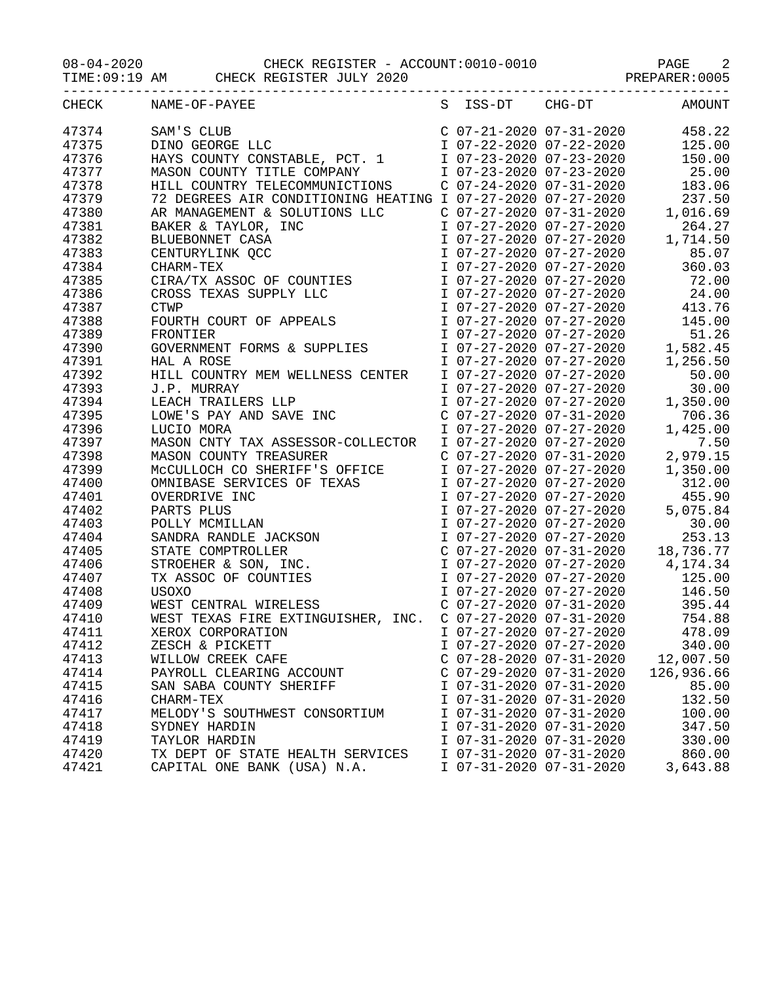08-04-2020 CHECK REGISTER - ACCOUNT:0010-0010 PAGE 2

TIME:09:19 AM CHECK REGISTER JULY 2020 PREPARER:0005

|       | CHECK NAME-OF-PAYEE                                                                                                                                                                                                                              |                           |                         | S ISS-DT CHG-DT AMOUNT                                                                             |
|-------|--------------------------------------------------------------------------------------------------------------------------------------------------------------------------------------------------------------------------------------------------|---------------------------|-------------------------|----------------------------------------------------------------------------------------------------|
| 47374 | SAM'S CLUB<br>DINO GEORGE LLC<br>DINO GEORGE LLC<br>HAYS COUNTY CONSTABLE, PCT. 1<br>MASON COUNTY TITLE COMPANY<br>MASON COUNTY TITLE COMPANY<br>T 07-23-2020 07-23-2020<br>T 07-23-2020 07-23-2020<br>T 07-23-2020 07-23-2020<br>T 07-23-2020 0 |                           |                         |                                                                                                    |
| 47375 |                                                                                                                                                                                                                                                  |                           |                         |                                                                                                    |
| 47376 |                                                                                                                                                                                                                                                  |                           |                         |                                                                                                    |
| 47377 |                                                                                                                                                                                                                                                  |                           |                         |                                                                                                    |
| 47378 | HILL COUNTRY TELECOMMUNICTIONS C 07-24-2020 07-31-2020 183.06                                                                                                                                                                                    |                           |                         |                                                                                                    |
| 47379 |                                                                                                                                                                                                                                                  |                           |                         |                                                                                                    |
| 47380 |                                                                                                                                                                                                                                                  |                           |                         |                                                                                                    |
| 47381 |                                                                                                                                                                                                                                                  |                           |                         |                                                                                                    |
| 47382 | 72 DEGREES AIR CONDITIONING HEATING I 07-27-2020 07-27-2020 237.50<br>AR MANAGEMENT & SOLUTIONS LLC C 07-27-2020 07-31-2020 1,016.69<br>BAKER & TAYLOR, INC I 07-27-2020 07-27-2020 264.27<br>BLUEBONNET CASA I 07-27-2020 07-27-202             |                           |                         |                                                                                                    |
| 47383 | BAKE & TATLER TORE TO THE TANK CONTROLLER TO the MANAGEMENT CASE AT A SULLA CONTROLLER TO THE TO THE TO THE TO THE TO THE TO THE TO THE TO THE TO THE TO THE TO THAT TO THE TO THE TO THE TO THE TO THAT TO THE TO THE TO THE                    |                           |                         |                                                                                                    |
| 47384 |                                                                                                                                                                                                                                                  |                           |                         |                                                                                                    |
| 47385 |                                                                                                                                                                                                                                                  |                           |                         | 72.00                                                                                              |
| 47386 |                                                                                                                                                                                                                                                  |                           |                         |                                                                                                    |
| 47387 |                                                                                                                                                                                                                                                  |                           |                         |                                                                                                    |
| 47388 |                                                                                                                                                                                                                                                  |                           |                         |                                                                                                    |
| 47389 |                                                                                                                                                                                                                                                  |                           |                         |                                                                                                    |
| 47390 |                                                                                                                                                                                                                                                  |                           |                         |                                                                                                    |
| 47391 |                                                                                                                                                                                                                                                  |                           |                         | 1,256.50                                                                                           |
| 47392 |                                                                                                                                                                                                                                                  |                           |                         | 50.00                                                                                              |
| 47393 | HAL A ROSE 1.2<br>HILL COUNTRY MEM WELLNESS CENTER 1 07-27-2020 07-27-2020<br>J.P. MURRAY 1 07-27-2020 07-27-2020                                                                                                                                |                           |                         | 30.00                                                                                              |
| 47394 | J.P. MURRAY<br>LEACH TRAILERS LLP                                                                                                                                                                                                                |                           |                         | I 07-27-2020 07-27-2020 1,350.00                                                                   |
| 47395 | LOWE'S PAY AND SAVE INC                                                                                                                                                                                                                          |                           |                         |                                                                                                    |
|       |                                                                                                                                                                                                                                                  |                           |                         | C 07-27-2020 07-31-2020 706.36<br>I 07-27-2020 07-27-2020 1,425.00<br>1,425.00                     |
| 47396 | LUCIO MORA                                                                                                                                                                                                                                       |                           |                         |                                                                                                    |
| 47397 |                                                                                                                                                                                                                                                  |                           |                         | 7.50                                                                                               |
| 47398 |                                                                                                                                                                                                                                                  |                           |                         | 2,979.15                                                                                           |
| 47399 |                                                                                                                                                                                                                                                  |                           |                         | 1,350.00<br>I 07-27-2020 07-27-2020 312.00                                                         |
| 47400 |                                                                                                                                                                                                                                                  |                           |                         |                                                                                                    |
| 47401 |                                                                                                                                                                                                                                                  |                           |                         | 455.90                                                                                             |
| 47402 |                                                                                                                                                                                                                                                  |                           |                         | 5,075.84                                                                                           |
| 47403 |                                                                                                                                                                                                                                                  |                           |                         | 30.00                                                                                              |
| 47404 |                                                                                                                                                                                                                                                  |                           |                         | 253.13                                                                                             |
| 47405 |                                                                                                                                                                                                                                                  |                           |                         | C 07-27-2020 07-31-2020 18,736.77                                                                  |
| 47406 |                                                                                                                                                                                                                                                  |                           |                         | I 07-27-2020 07-27-2020 4,174.34                                                                   |
| 47407 |                                                                                                                                                                                                                                                  |                           |                         |                                                                                                    |
| 47408 |                                                                                                                                                                                                                                                  |                           |                         | 1 07-27-2020 07-27-2020 125.00<br>1 07-27-2020 07-27-2020 146.50<br>C 07-27-2020 07-31-2020 395.44 |
| 47409 |                                                                                                                                                                                                                                                  |                           |                         |                                                                                                    |
| 47410 | WEST TEXAS FIRE EXTINGUISHER, INC. C 07-27-2020 07-31-2020 754.88                                                                                                                                                                                |                           |                         |                                                                                                    |
| 47411 | XEROX CORPORATION                                                                                                                                                                                                                                |                           | I 07-27-2020 07-27-2020 | 478.09                                                                                             |
| 47412 | ZESCH & PICKETT                                                                                                                                                                                                                                  |                           | I 07-27-2020 07-27-2020 | 340.00                                                                                             |
| 47413 | WILLOW CREEK CAFE                                                                                                                                                                                                                                | $C$ 07-28-2020 07-31-2020 |                         | 12,007.50                                                                                          |
| 47414 | PAYROLL CLEARING ACCOUNT                                                                                                                                                                                                                         | $C$ 07-29-2020 07-31-2020 |                         | 126,936.66                                                                                         |
| 47415 | SAN SABA COUNTY SHERIFF                                                                                                                                                                                                                          | I 07-31-2020 07-31-2020   |                         | 85.00                                                                                              |
| 47416 | CHARM-TEX                                                                                                                                                                                                                                        | I 07-31-2020 07-31-2020   |                         | 132.50                                                                                             |
| 47417 | MELODY'S SOUTHWEST CONSORTIUM                                                                                                                                                                                                                    | I 07-31-2020 07-31-2020   |                         | 100.00                                                                                             |
| 47418 | SYDNEY HARDIN                                                                                                                                                                                                                                    | I 07-31-2020 07-31-2020   |                         | 347.50                                                                                             |
| 47419 | TAYLOR HARDIN                                                                                                                                                                                                                                    | I 07-31-2020 07-31-2020   |                         | 330.00                                                                                             |
| 47420 | TX DEPT OF STATE HEALTH SERVICES                                                                                                                                                                                                                 | I 07-31-2020 07-31-2020   |                         | 860.00                                                                                             |
| 47421 | CAPITAL ONE BANK (USA) N.A.                                                                                                                                                                                                                      | I 07-31-2020 07-31-2020   |                         | 3,643.88                                                                                           |
|       |                                                                                                                                                                                                                                                  |                           |                         |                                                                                                    |